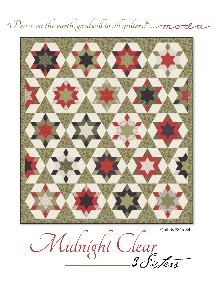

"Peace on the earth, goodwill to all quiters!"... mode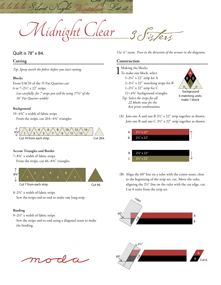Midnight Clear

# $3\sqrt{x}$

#### Quilt is 78" x 84.

la la la la Silent C

#### **Cutting**

*Tip: Spray starch the fabric before you start cutting.*

#### **Blocks**

From EACH of the 15 Fat Quarters cut 6 or 7–21/2" x 22" strips *(cut carefully, for 7 strips you will be using 171/2" of the 18" Fat Quarter width)*

#### **Background**

19–43/4" x width of fabric strips From the strips, cut 264-4<sup>34"</sup> triangles



#### **Accent Triangles and Border**

7–83/4" x width of fabric strips

From the strips, cut 46–8<sup>3</sup>/<sub>4</sub>" triangles



Cut 7 from each strip.

Cut 46.

8–21/2" x width of fabric strips

Sew the strips end-to-end to make one long strip.

#### **Binding**

9–21/2" x width of fabric strips

Sew the strips end-to-end using a diagonal seam to make the binding.

*Use ¼" seams. Press in the direction of the arrows in the diagrams.*

#### **Construction**

Making the blocks<br>To make one block, select  $1-2\frac{1}{2}$ " x 22" strip for A 2–21/2" x 22" matching strips for B 1–21/2" x 22" strip for C 12-434" background triangles *Tip: Select the strips for all 22 blocks now for the best print combinations.*



background 6 matching units make 1 block

(A) Join one A and one B 21/2" x 22" strip together as shown. Join one B and one C 21/2" x 22" strip together as shown.



(B) Align the 60° line on a ruler with the center seam, close to the beginning of the strip set, cut. Move the ruler, aligning the 21/2" line on the ruler with the cut edge, cut. Cut 6 units from the strip set.



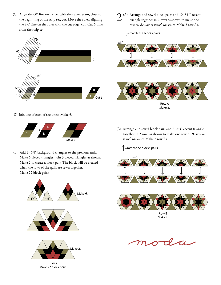(C) Align the 60° line on a ruler with the center seam, close to the beginning of the strip set, cut. Move the ruler, aligning the 21/2" line on the ruler with the cut edge, cut. Cut 6 units from the strip set.



#### (D) Join one of each of the units. Make 6.



(E) Add 2–43/4" background triangles to the previous unit. Make 6 pieced triangles. Join 3 pieced triangles as shown. Make 2 to create a block pair. The block will be created when the rows of the quilt are sewn together. Make 22 block pairs.



- 2(A) Arrange and sew 4 block pairs and 10–83/4" accent triangle together in 2 rows as shown to make one row A**.** *Be sure to match the pairs.* Make 3 row As.
	- $\int$  =match the blocks pairs







(B) Arrange and sew 5 block pairs and 8–83/4" accent triangle together in 2 rows as shown to make one row A**.** *Be sure to match the pairs.* Make 2 row Bs.

 $\int$  =match the blocks pairs





Row B Make 2.

 $\boldsymbol{\beta}$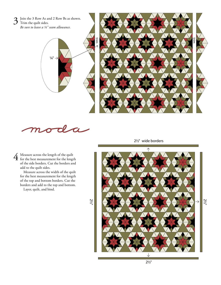

 $\widehat{1}$ 

4 Measure across the length of the quilt for the best measurement for the length of the side borders. Cut the borders and add to the quilt sides.

Measure across the width of the quilt for the best measurement for the length of the top and bottom borders. Cut the borders and add to the top and bottom. Layer, quilt, and bind.

21/2" wide borders

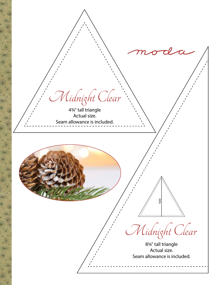